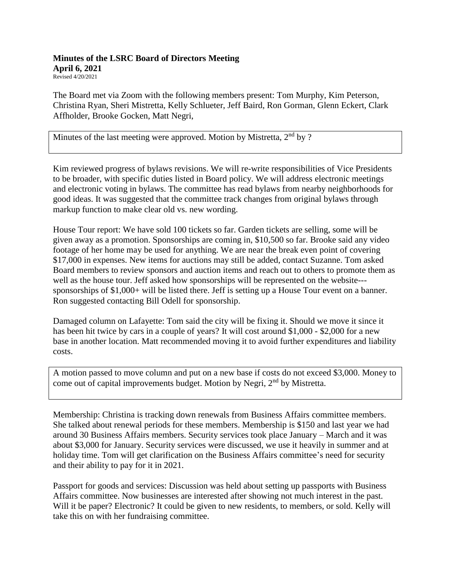## **Minutes of the LSRC Board of Directors Meeting April 6, 2021** Revised 4/20/2021

The Board met via Zoom with the following members present: Tom Murphy, Kim Peterson, Christina Ryan, Sheri Mistretta, Kelly Schlueter, Jeff Baird, Ron Gorman, Glenn Eckert, Clark Affholder, Brooke Gocken, Matt Negri,

Minutes of the last meeting were approved. Motion by Mistretta,  $2<sup>nd</sup>$  by ?

Kim reviewed progress of bylaws revisions. We will re-write responsibilities of Vice Presidents to be broader, with specific duties listed in Board policy. We will address electronic meetings and electronic voting in bylaws. The committee has read bylaws from nearby neighborhoods for good ideas. It was suggested that the committee track changes from original bylaws through markup function to make clear old vs. new wording.

House Tour report: We have sold 100 tickets so far. Garden tickets are selling, some will be given away as a promotion. Sponsorships are coming in, \$10,500 so far. Brooke said any video footage of her home may be used for anything. We are near the break even point of covering \$17,000 in expenses. New items for auctions may still be added, contact Suzanne. Tom asked Board members to review sponsors and auction items and reach out to others to promote them as well as the house tour. Jeff asked how sponsorships will be represented on the website-- sponsorships of \$1,000+ will be listed there. Jeff is setting up a House Tour event on a banner. Ron suggested contacting Bill Odell for sponsorship.

Damaged column on Lafayette: Tom said the city will be fixing it. Should we move it since it has been hit twice by cars in a couple of years? It will cost around \$1,000 - \$2,000 for a new base in another location. Matt recommended moving it to avoid further expenditures and liability costs.

A motion passed to move column and put on a new base if costs do not exceed \$3,000. Money to come out of capital improvements budget. Motion by Negri, 2nd by Mistretta.

Membership: Christina is tracking down renewals from Business Affairs committee members. She talked about renewal periods for these members. Membership is \$150 and last year we had around 30 Business Affairs members. Security services took place January – March and it was about \$3,000 for January. Security services were discussed, we use it heavily in summer and at holiday time. Tom will get clarification on the Business Affairs committee's need for security and their ability to pay for it in 2021.

Passport for goods and services: Discussion was held about setting up passports with Business Affairs committee. Now businesses are interested after showing not much interest in the past. Will it be paper? Electronic? It could be given to new residents, to members, or sold. Kelly will take this on with her fundraising committee.